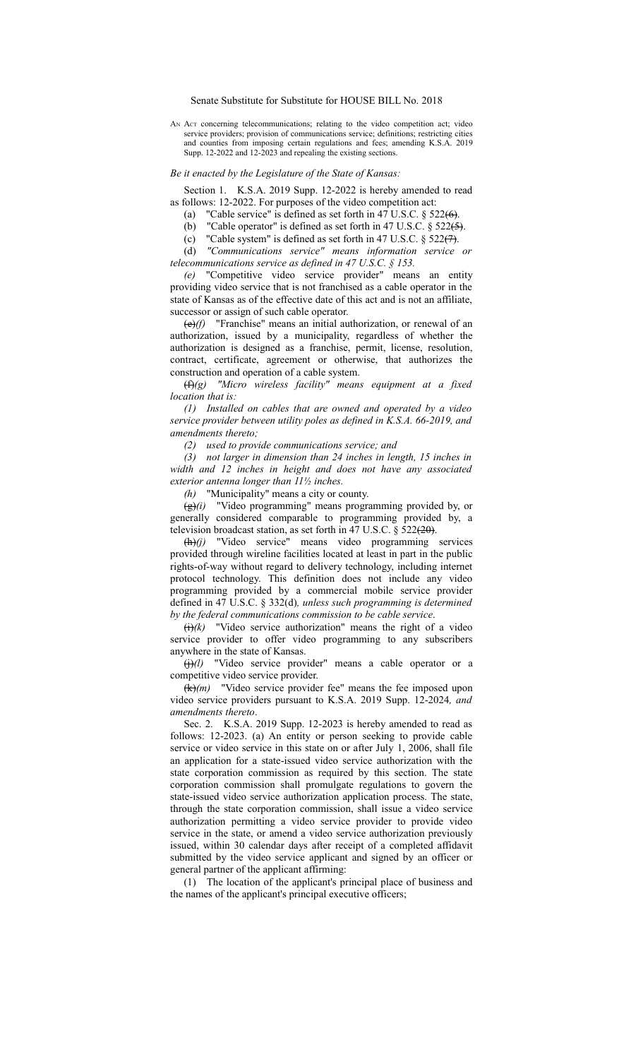Senate Substitute for Substitute for HOUSE BILL No. 2018

AN ACT concerning telecommunications; relating to the video competition act; video service providers; provision of communications service; definitions; restricting cities and counties from imposing certain regulations and fees; amending K.S.A. 2019 Supp. 12-2022 and 12-2023 and repealing the existing sections.

## *Be it enacted by the Legislature of the State of Kansas:*

Section 1. K.S.A. 2019 Supp. 12-2022 is hereby amended to read as follows: 12-2022. For purposes of the video competition act:

(a) "Cable service" is defined as set forth in 47 U.S.C.  $\S$  522(6).

(b) "Cable operator" is defined as set forth in 47 U.S.C.  $\S$  522(5).

(c) "Cable system" is defined as set forth in 47 U.S.C.  $\S$  522(7).

(d) *"Communications service" means information service or telecommunications service as defined in 47 U.S.C. § 153.*

*(e)* "Competitive video service provider" means an entity providing video service that is not franchised as a cable operator in the state of Kansas as of the effective date of this act and is not an affiliate, successor or assign of such cable operator.

(e)*(f)* "Franchise" means an initial authorization, or renewal of an authorization, issued by a municipality, regardless of whether the authorization is designed as a franchise, permit, license, resolution, contract, certificate, agreement or otherwise, that authorizes the construction and operation of a cable system.

(f)*(g) "Micro wireless facility" means equipment at a fixed location that is:*

*(1) Installed on cables that are owned and operated by a video service provider between utility poles as defined in K.S.A. 66-2019, and amendments thereto;*

*(2) used to provide communications service; and*

*(3) not larger in dimension than 24 inches in length, 15 inches in width and 12 inches in height and does not have any associated exterior antenna longer than 11½ inches.*

*(h)* "Municipality" means a city or county.

(g)*(i)* "Video programming" means programming provided by, or generally considered comparable to programming provided by, a television broadcast station, as set forth in 47 U.S.C.  $\S$  522(20).

 $(\hat{h})$  "Video service" means video programming services provided through wireline facilities located at least in part in the public rights-of-way without regard to delivery technology, including internet protocol technology. This definition does not include any video programming provided by a commercial mobile service provider defined in 47 U.S.C. § 332(d)*, unless such programming is determined by the federal communications commission to be cable service*.

 $\overrightarrow{(i)}(k)$  "Video service authorization" means the right of a video service provider to offer video programming to any subscribers anywhere in the state of Kansas.

(i)*(l)* "Video service provider" means a cable operator or a competitive video service provider.

(k)*(m)* "Video service provider fee" means the fee imposed upon video service providers pursuant to K.S.A. 2019 Supp. 12-2024*, and amendments thereto*.

Sec. 2. K.S.A. 2019 Supp. 12-2023 is hereby amended to read as follows: 12-2023. (a) An entity or person seeking to provide cable service or video service in this state on or after July 1, 2006, shall file an application for a state-issued video service authorization with the state corporation commission as required by this section. The state corporation commission shall promulgate regulations to govern the state-issued video service authorization application process. The state, through the state corporation commission, shall issue a video service authorization permitting a video service provider to provide video service in the state, or amend a video service authorization previously issued, within 30 calendar days after receipt of a completed affidavit submitted by the video service applicant and signed by an officer or general partner of the applicant affirming:

(1) The location of the applicant's principal place of business and the names of the applicant's principal executive officers;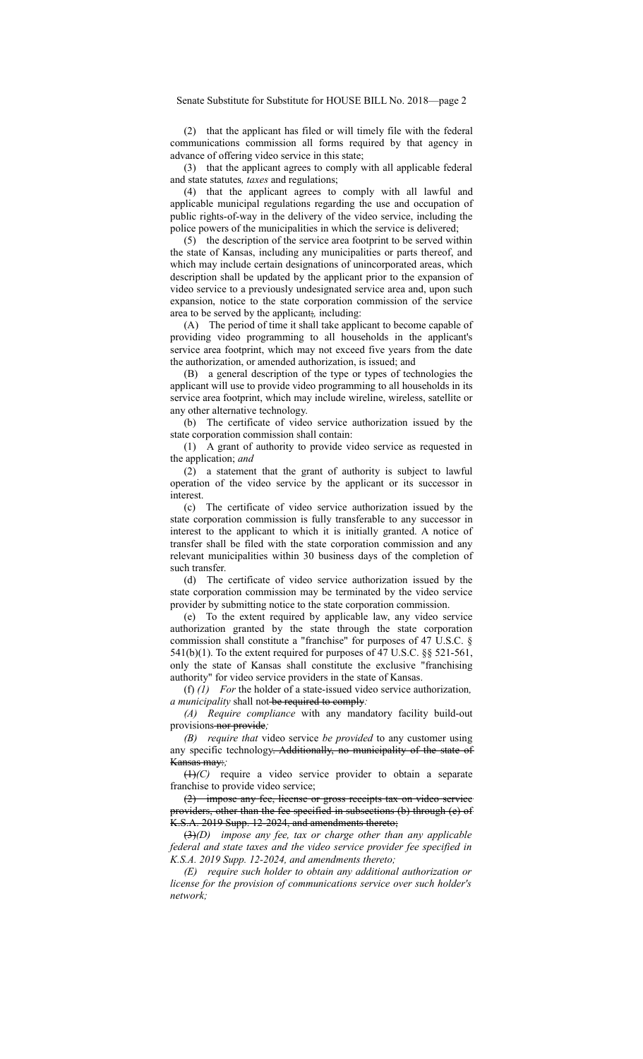(2) that the applicant has filed or will timely file with the federal communications commission all forms required by that agency in advance of offering video service in this state;

(3) that the applicant agrees to comply with all applicable federal and state statutes*, taxes* and regulations;

(4) that the applicant agrees to comply with all lawful and applicable municipal regulations regarding the use and occupation of public rights-of-way in the delivery of the video service, including the police powers of the municipalities in which the service is delivered;

(5) the description of the service area footprint to be served within the state of Kansas, including any municipalities or parts thereof, and which may include certain designations of unincorporated areas, which description shall be updated by the applicant prior to the expansion of video service to a previously undesignated service area and, upon such expansion, notice to the state corporation commission of the service area to be served by the applicant;*,* including:

(A) The period of time it shall take applicant to become capable of providing video programming to all households in the applicant's service area footprint, which may not exceed five years from the date the authorization, or amended authorization, is issued; and

(B) a general description of the type or types of technologies the applicant will use to provide video programming to all households in its service area footprint, which may include wireline, wireless, satellite or any other alternative technology.

(b) The certificate of video service authorization issued by the state corporation commission shall contain:

(1) A grant of authority to provide video service as requested in the application; *and*

(2) a statement that the grant of authority is subject to lawful operation of the video service by the applicant or its successor in interest.

(c) The certificate of video service authorization issued by the state corporation commission is fully transferable to any successor in interest to the applicant to which it is initially granted. A notice of transfer shall be filed with the state corporation commission and any relevant municipalities within 30 business days of the completion of such transfer.

(d) The certificate of video service authorization issued by the state corporation commission may be terminated by the video service provider by submitting notice to the state corporation commission.

(e) To the extent required by applicable law, any video service authorization granted by the state through the state corporation commission shall constitute a "franchise" for purposes of 47 U.S.C. §  $541(b)(1)$ . To the extent required for purposes of 47 U.S.C. §§ 521-561, only the state of Kansas shall constitute the exclusive "franchising authority" for video service providers in the state of Kansas.

(f) *(1) For* the holder of a state-issued video service authorization*, a municipality* shall not-be required to comply:

*(A) Require compliance* with any mandatory facility build-out provisions nor provide*;*

*(B) require that* video service *be provided* to any customer using any specific technology. Additionally, no municipality of the state of Kansas may:*;*

(1)*(C)* require a video service provider to obtain a separate franchise to provide video service;

(2) impose any fee, license or gross receipts tax on video service providers, other than the fee specified in subsections (b) through (e) of K.S.A. 2019 Supp. 12-2024, and amendments thereto;

(3)*(D) impose any fee, tax or charge other than any applicable federal and state taxes and the video service provider fee specified in K.S.A. 2019 Supp. 12-2024, and amendments thereto;*

*(E) require such holder to obtain any additional authorization or license for the provision of communications service over such holder's network;*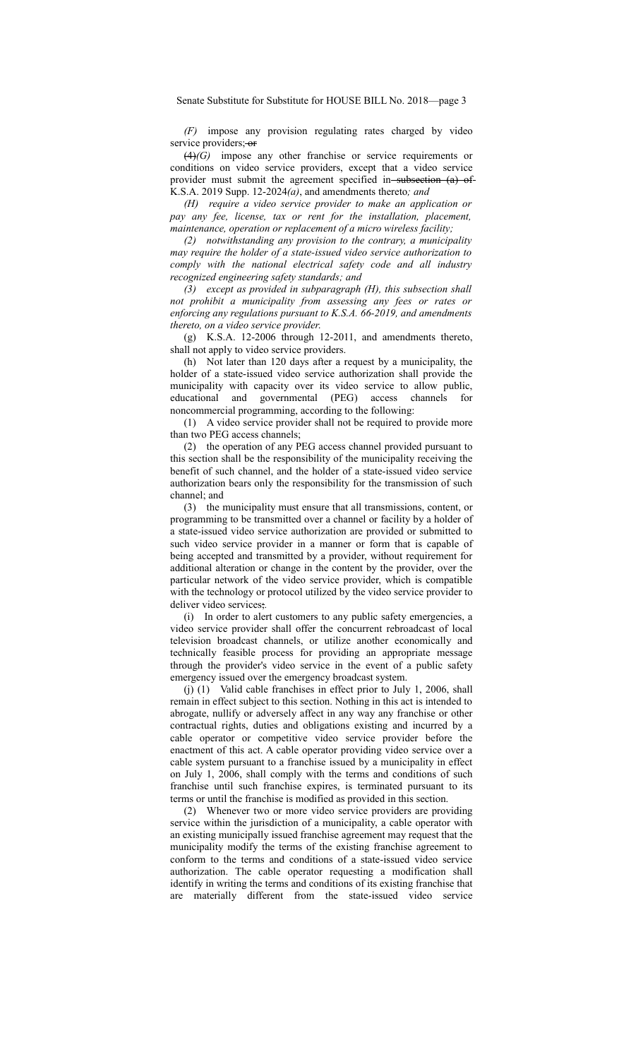Senate Substitute for Substitute for HOUSE BILL No. 2018—page 3

*(F)* impose any provision regulating rates charged by video service providers; or

(4)*(G)* impose any other franchise or service requirements or conditions on video service providers, except that a video service provider must submit the agreement specified in-subsection (a) of-K.S.A. 2019 Supp. 12-2024*(a)*, and amendments thereto*; and*

*(H) require a video service provider to make an application or pay any fee, license, tax or rent for the installation, placement, maintenance, operation or replacement of a micro wireless facility;*

*(2) notwithstanding any provision to the contrary, a municipality may require the holder of a state-issued video service authorization to comply with the national electrical safety code and all industry recognized engineering safety standards; and*

*(3) except as provided in subparagraph (H), this subsection shall not prohibit a municipality from assessing any fees or rates or enforcing any regulations pursuant to K.S.A. 66-2019, and amendments thereto, on a video service provider*.

(g) K.S.A. 12-2006 through 12-2011, and amendments thereto, shall not apply to video service providers.

(h) Not later than 120 days after a request by a municipality, the holder of a state-issued video service authorization shall provide the municipality with capacity over its video service to allow public, educational and governmental (PEG) access channels for noncommercial programming, according to the following:

(1) A video service provider shall not be required to provide more than two PEG access channels;

(2) the operation of any PEG access channel provided pursuant to this section shall be the responsibility of the municipality receiving the benefit of such channel, and the holder of a state-issued video service authorization bears only the responsibility for the transmission of such channel; and

(3) the municipality must ensure that all transmissions, content, or programming to be transmitted over a channel or facility by a holder of a state-issued video service authorization are provided or submitted to such video service provider in a manner or form that is capable of being accepted and transmitted by a provider, without requirement for additional alteration or change in the content by the provider, over the particular network of the video service provider, which is compatible with the technology or protocol utilized by the video service provider to deliver video services;*.*

(i) In order to alert customers to any public safety emergencies, a video service provider shall offer the concurrent rebroadcast of local television broadcast channels, or utilize another economically and technically feasible process for providing an appropriate message through the provider's video service in the event of a public safety emergency issued over the emergency broadcast system.

(j) (1) Valid cable franchises in effect prior to July 1, 2006, shall remain in effect subject to this section. Nothing in this act is intended to abrogate, nullify or adversely affect in any way any franchise or other contractual rights, duties and obligations existing and incurred by a cable operator or competitive video service provider before the enactment of this act. A cable operator providing video service over a cable system pursuant to a franchise issued by a municipality in effect on July 1, 2006, shall comply with the terms and conditions of such franchise until such franchise expires, is terminated pursuant to its terms or until the franchise is modified as provided in this section.

(2) Whenever two or more video service providers are providing service within the jurisdiction of a municipality, a cable operator with an existing municipally issued franchise agreement may request that the municipality modify the terms of the existing franchise agreement to conform to the terms and conditions of a state-issued video service authorization. The cable operator requesting a modification shall identify in writing the terms and conditions of its existing franchise that are materially different from the state-issued video service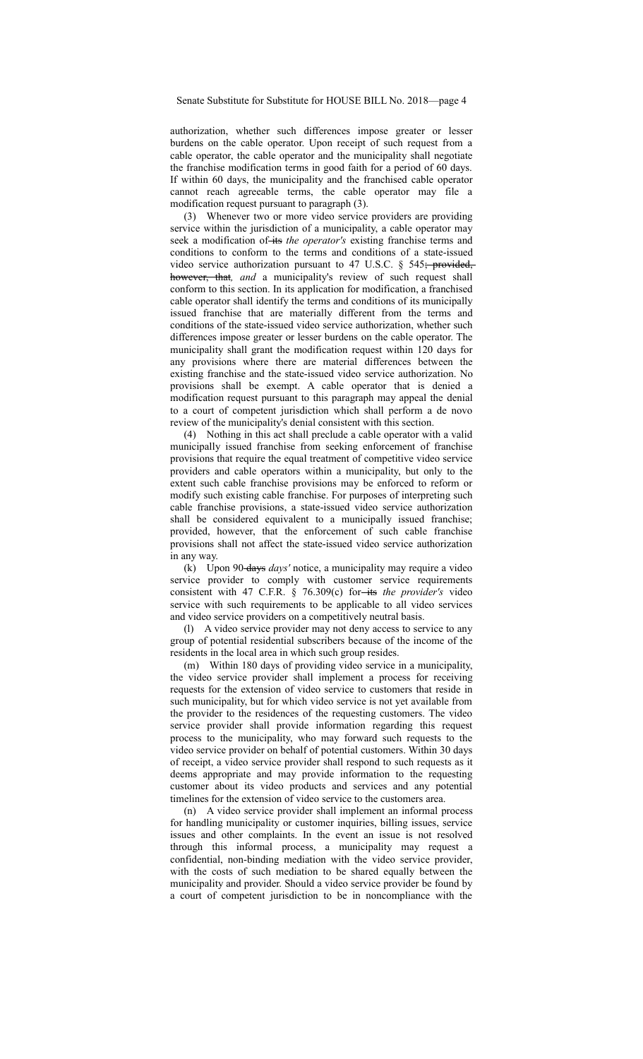authorization, whether such differences impose greater or lesser burdens on the cable operator. Upon receipt of such request from a cable operator, the cable operator and the municipality shall negotiate the franchise modification terms in good faith for a period of 60 days. If within 60 days, the municipality and the franchised cable operator cannot reach agreeable terms, the cable operator may file a modification request pursuant to paragraph (3).

(3) Whenever two or more video service providers are providing service within the jurisdiction of a municipality, a cable operator may seek a modification of its *the operator's* existing franchise terms and conditions to conform to the terms and conditions of a state-issued video service authorization pursuant to 47 U.S.C.  $\S$  545; provided, however, that*, and* a municipality's review of such request shall conform to this section. In its application for modification, a franchised cable operator shall identify the terms and conditions of its municipally issued franchise that are materially different from the terms and conditions of the state-issued video service authorization, whether such differences impose greater or lesser burdens on the cable operator. The municipality shall grant the modification request within 120 days for any provisions where there are material differences between the existing franchise and the state-issued video service authorization. No provisions shall be exempt. A cable operator that is denied a modification request pursuant to this paragraph may appeal the denial to a court of competent jurisdiction which shall perform a de novo review of the municipality's denial consistent with this section.

(4) Nothing in this act shall preclude a cable operator with a valid municipally issued franchise from seeking enforcement of franchise provisions that require the equal treatment of competitive video service providers and cable operators within a municipality, but only to the extent such cable franchise provisions may be enforced to reform or modify such existing cable franchise. For purposes of interpreting such cable franchise provisions, a state-issued video service authorization shall be considered equivalent to a municipally issued franchise; provided, however, that the enforcement of such cable franchise provisions shall not affect the state-issued video service authorization in any way.

(k) Upon 90 days *days'* notice, a municipality may require a video service provider to comply with customer service requirements consistent with 47 C.F.R. § 76.309(c) for-its the provider's video service with such requirements to be applicable to all video services and video service providers on a competitively neutral basis.

(l) A video service provider may not deny access to service to any group of potential residential subscribers because of the income of the residents in the local area in which such group resides.

(m) Within 180 days of providing video service in a municipality, the video service provider shall implement a process for receiving requests for the extension of video service to customers that reside in such municipality, but for which video service is not yet available from the provider to the residences of the requesting customers. The video service provider shall provide information regarding this request process to the municipality, who may forward such requests to the video service provider on behalf of potential customers. Within 30 days of receipt, a video service provider shall respond to such requests as it deems appropriate and may provide information to the requesting customer about its video products and services and any potential timelines for the extension of video service to the customers area.

(n) A video service provider shall implement an informal process for handling municipality or customer inquiries, billing issues, service issues and other complaints. In the event an issue is not resolved through this informal process, a municipality may request a confidential, non-binding mediation with the video service provider, with the costs of such mediation to be shared equally between the municipality and provider. Should a video service provider be found by a court of competent jurisdiction to be in noncompliance with the